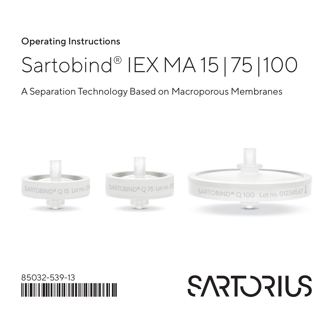Operating Instructions

# Sartobind® IEX MA 15| 75|100

#### A Separation Technology Based on Macroporous Membranes





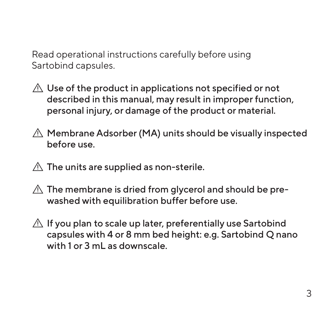Read operational instructions carefully before using Sartobind capsules.

- $\triangle$  Use of the product in applications not specified or not described in this manual, may result in improper function, personal injury, or damage of the product or material.
- $\triangle$  Membrane Adsorber (MA) units should be visually inspected before use.
- $\triangle$  The units are supplied as non-sterile.
- $\triangle$  The membrane is dried from glycerol and should be prewashed with equilibration buffer before use.
- $\triangle$  If you plan to scale up later, preferentially use Sartobind capsules with 4 or 8 mm bed height: e.g. Sartobind Q nano with 1 or 3 mL as downscale.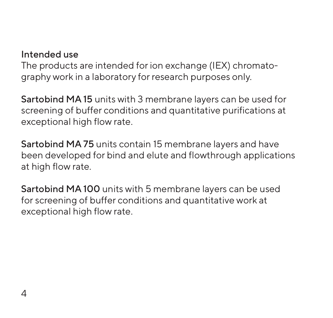#### Intended use

The products are intended for ion exchange (IEX) chromatography work in a laboratory for research purposes only.

Sartobind MA 15 units with 3 membrane layers can be used for screening of buffer conditions and quantitative purifications at exceptional high flow rate.

Sartobind MA 75 units contain 15 membrane layers and have been developed for bind and elute and flowthrough applications at high flow rate.

Sartobind MA 100 units with 5 membrane layers can be used for screening of buffer conditions and quantitative work at exceptional high flow rate.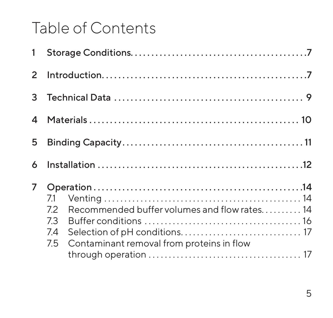## Table of Contents

| $2^{\circ}$    |                                                                                                                            |  |  |
|----------------|----------------------------------------------------------------------------------------------------------------------------|--|--|
|                |                                                                                                                            |  |  |
|                |                                                                                                                            |  |  |
| 5.             |                                                                                                                            |  |  |
| 6              |                                                                                                                            |  |  |
| $\overline{7}$ | 7.1<br>Recommended buffer volumes and flow rates14<br>72<br>7.3<br>7.4<br>Contaminant removal from proteins in flow<br>7.5 |  |  |
|                |                                                                                                                            |  |  |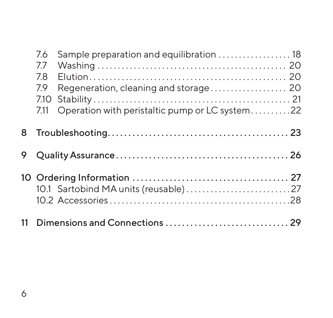| 7.6  | Sample preparation and equilibration  18       |  |
|------|------------------------------------------------|--|
| 77   |                                                |  |
| 7.8  |                                                |  |
| 7.9  | Regeneration, cleaning and storage 20          |  |
| 7.10 |                                                |  |
| 7.11 | Operation with peristaltic pump or LC system22 |  |
|      |                                                |  |
|      |                                                |  |
|      |                                                |  |
|      |                                                |  |
|      |                                                |  |
|      |                                                |  |
|      |                                                |  |
|      |                                                |  |
|      |                                                |  |
|      |                                                |  |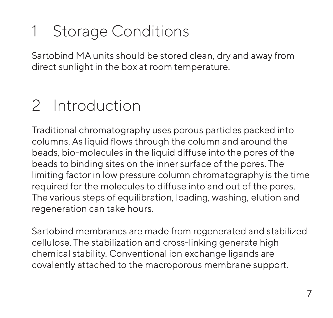# <span id="page-6-0"></span>1 Storage Conditions

Sartobind MA units should be stored clean, dry and away from direct sunlight in the box at room temperature.

### 2 Introduction

Traditional chromatography uses porous particles packed into columns. As liquid flows through the column and around the beads, bio-molecules in the liquid diffuse into the pores of the beads to binding sites on the inner surface of the pores. The limiting factor in low pressure column chromatography is the time required for the molecules to diffuse into and out of the pores. The various steps of equilibration, loading, washing, elution and regeneration can take hours.

Sartobind membranes are made from regenerated and stabilized cellulose. The stabilization and cross-linking generate high chemical stability. Conventional ion exchange ligands are covalently attached to the macroporous membrane support.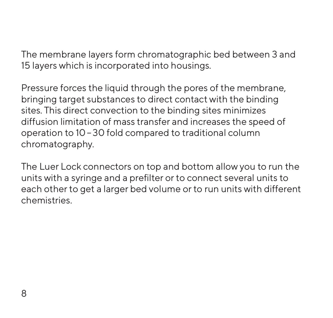The membrane layers form chromatographic bed between 3 and 15 layers which is incorporated into housings.

Pressure forces the liquid through the pores of the membrane, bringing target substances to direct contact with the binding sites. This direct convection to the binding sites minimizes diffusion limitation of mass transfer and increases the speed of operation to 10–30 fold compared to traditional column chromatography.

The Luer Lock connectors on top and bottom allow you to run the units with a syringe and a prefilter or to connect several units to each other to get a larger bed volume or to run units with different chemistries.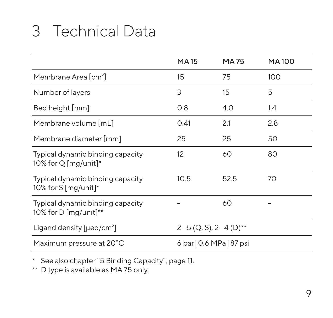# <span id="page-8-0"></span>3 Technical Data

|                                                           | <b>MA15</b>                           | MA 75                    | <b>MA100</b> |
|-----------------------------------------------------------|---------------------------------------|--------------------------|--------------|
| Membrane Area [cm <sup>2</sup> ]                          | 15                                    | 75                       | 100          |
| Number of layers                                          | 3                                     | 15                       | 5            |
| Bed height [mm]                                           | 0.8                                   | 4.0                      | 1.4          |
| Membrane volume [mL]                                      | 0.41                                  | 2.1                      | 2.8          |
| Membrane diameter [mm]                                    | 25                                    | 25                       | 50           |
| Typical dynamic binding capacity<br>10% for Q [mg/unit]*  | 12                                    | 60                       | 80           |
| Typical dynamic binding capacity<br>10% for S [mg/unit]*  | 10.5                                  | 52.5                     | 70           |
| Typical dynamic binding capacity<br>10% for D [mg/unit]** |                                       | 60                       |              |
| Ligand density $[{\mu}eq/cm^2]$                           | $2-5$ (Q, S), $2-4$ (D) <sup>**</sup> |                          |              |
| Maximum pressure at 20°C                                  |                                       | 6 bar   0.6 MPa   87 psi |              |

\* See also [chapter "5 Binding Capacity", page 11](#page-10-1).

\*\* D type is available as MA 75 only.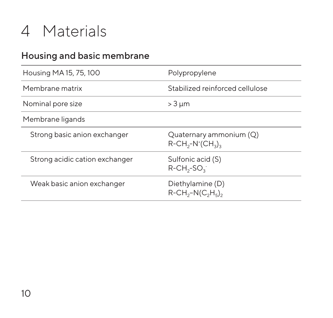### <span id="page-9-0"></span>4 Materials

#### Housing and basic membrane

| Housing MA 15, 75, 100         | Polypropylene                                                                                   |  |
|--------------------------------|-------------------------------------------------------------------------------------------------|--|
| Membrane matrix                | Stabilized reinforced cellulose                                                                 |  |
| Nominal pore size              | $>$ 3 $\mu$ m                                                                                   |  |
| Membrane ligands               |                                                                                                 |  |
| Strong basic anion exchanger   | Quaternary ammonium (Q)<br>$R$ -CH <sub>2</sub> -N <sup>+</sup> (CH <sub>2</sub> ) <sub>2</sub> |  |
| Strong acidic cation exchanger | Sulfonic acid (S)<br>$R$ -CH <sub>3</sub> -SO <sub>3</sub>                                      |  |
| Weak basic anion exchanger     | Diethylamine (D)<br>$R$ -CH <sub>2</sub> -N(C <sub>2</sub> H <sub>5</sub> ) <sub>2</sub>        |  |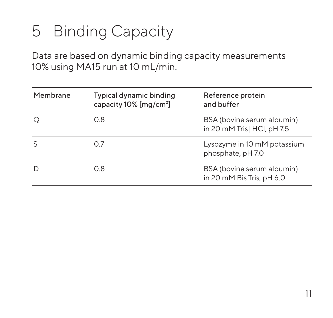# <span id="page-10-1"></span><span id="page-10-0"></span>5 Binding Capacity

Data are based on dynamic binding capacity measurements 10% using MA15 run at 10 mL/min.

| Membrane     | Typical dynamic binding<br>capacity 10% [mg/cm <sup>2</sup> ] | Reference protein<br>and buffer                           |
|--------------|---------------------------------------------------------------|-----------------------------------------------------------|
|              | 0.8                                                           | BSA (bovine serum albumin)<br>in 20 mM Tris   HCl, pH 7.5 |
| <sup>S</sup> | O 7                                                           | Lysozyme in 10 mM potassium<br>phosphate, pH7.0           |
|              | O 8                                                           | BSA (bovine serum albumin)<br>in 20 mM Bis Tris, pH 6.0   |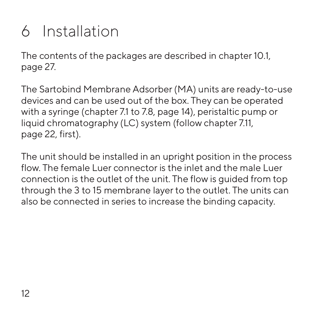# <span id="page-11-0"></span>6 Installation

The contents of the packages are described in [chapter 10.1,](#page-26-1)  [page 27.](#page-26-1)

The Sartobind Membrane Adsorber (MA) units are ready-to-use devices and can be used out of the box. They can be operated with a syringe (chapter 7.1 to 7.8, [page 14](#page-13-1)), peristaltic pump or liquid chromatography (LC) system (follow [chapter 7.11,](#page-21-1)  [page 22,](#page-21-1) first).

The unit should be installed in an upright position in the process flow. The female Luer connector is the inlet and the male Luer connection is the outlet of the unit. The flow is guided from top through the 3 to 15 membrane layer to the outlet. The units can also be connected in series to increase the binding capacity.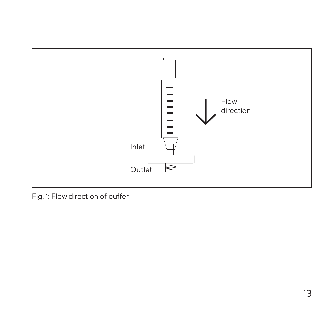

Fig. 1: Flow direction of buffer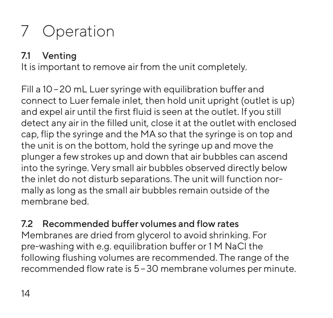# <span id="page-13-0"></span>7 Operation

#### <span id="page-13-1"></span>7.1 Venting

It is important to remove air from the unit completely.

Fill a 10–20 mL Luer syringe with equilibration buffer and connect to Luer female inlet, then hold unit upright (outlet is up) and expel air until the first fluid is seen at the outlet. If you still detect any air in the filled unit, close it at the outlet with enclosed cap, flip the syringe and the MA so that the syringe is on top and the unit is on the bottom, hold the syringe up and move the plunger a few strokes up and down that air bubbles can ascend into the syringe. Very small air bubbles observed directly below the inlet do not disturb separations. The unit will function normally as long as the small air bubbles remain outside of the membrane bed.

7.2 Recommended buffer volumes and flow rates Membranes are dried from glycerol to avoid shrinking. For pre-washing with e.g. equilibration buffer or 1 M NaCl the following flushing volumes are recommended. The range of the recommended flow rate is 5–30 membrane volumes per minute.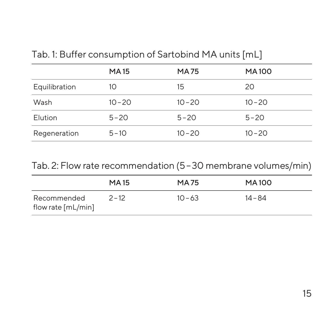| <b>MA15</b> | <b>MA75</b> | <b>MA100</b> |
|-------------|-------------|--------------|
| 10          | 15          | 20           |
| $10 - 20$   | $10 - 20$   | $10 - 20$    |
| $5 - 20$    | $5 - 20$    | $5 - 20$     |
| $5 - 10$    | $10 - 20$   | $10 - 20$    |
|             |             |              |

Tab. 1: Buffer consumption of Sartobind MA units [mL]

Tab. 2: Flow rate recommendation (5–30 membrane volumes/min)

|                                   | <b>MA15</b> | <b>MA75</b> | MA100     |
|-----------------------------------|-------------|-------------|-----------|
| Recommended<br>flow rate [mL/min] | 2-12        | $10 - 63$   | $14 - 84$ |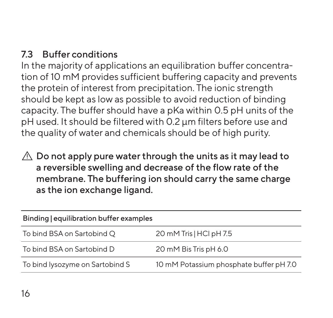#### <span id="page-15-0"></span>7.3 Buffer conditions

In the majority of applications an equilibration buffer concentration of 10 mM provides sufficient buffering capacity and prevents the protein of interest from precipitation. The ionic strength should be kept as low as possible to avoid reduction of binding capacity. The buffer should have a pKa within 0.5 pH units of the pH used. It should be filtered with 0.2 µm filters before use and the quality of water and chemicals should be of high purity.

 $\triangle$  Do not apply pure water through the units as it may lead to a reversible swelling and decrease of the flow rate of the membrane. The buffering ion should carry the same charge as the ion exchange ligand.

| Binding equilibration buffer examples |                                         |  |
|---------------------------------------|-----------------------------------------|--|
| To bind BSA on Sartobind Q            | 20 mM Tris   HCI pH 7.5                 |  |
| To bind BSA on Sartobind D            | 20 mM Bis Tris pH 6.0                   |  |
| To bind lysozyme on Sartobind S       | 10 mM Potassium phosphate buffer pH 7.0 |  |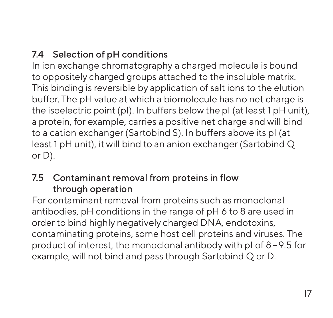#### <span id="page-16-0"></span>7.4 Selection of pH conditions

In ion exchange chromatography a charged molecule is bound to oppositely charged groups attached to the insoluble matrix. This binding is reversible by application of salt ions to the elution buffer. The pH value at which a biomolecule has no net charge is the isoelectric point (pI). In buffers below the pI (at least 1 pH unit), a protein, for example, carries a positive net charge and will bind to a cation exchanger (Sartobind S). In buffers above its pI (at least 1 pH unit), it will bind to an anion exchanger (Sartobind Q or D).

#### 7.5 Contaminant removal from proteins in flow through operation

For contaminant removal from proteins such as monoclonal antibodies, pH conditions in the range of pH 6 to 8 are used in order to bind highly negatively charged DNA, endotoxins, contaminating proteins, some host cell proteins and viruses. The product of interest, the monoclonal antibody with pI of 8–9.5 for example, will not bind and pass through Sartobind Q or D.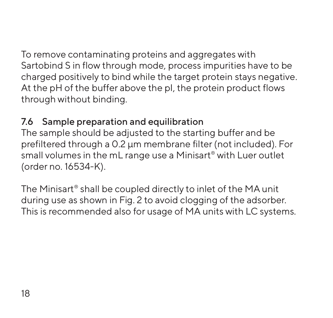<span id="page-17-0"></span>To remove contaminating proteins and aggregates with Sartobind S in flow through mode, process impurities have to be charged positively to bind while the target protein stays negative. At the pH of the buffer above the pl, the protein product flows through without binding.

#### 7.6 Sample preparation and equilibration

The sample should be adjusted to the starting buffer and be prefiltered through a 0.2 µm membrane filter (not included). For small volumes in the mL range use a Minisart® with Luer outlet (order no. 16534-K).

The Minisart® shall be coupled directly to inlet of the MA unit during use as shown in Fig. 2 to avoid clogging of the adsorber. This is recommended also for usage of MA units with LC systems.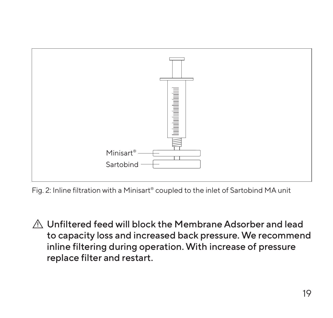

Fig. 2: Inline filtration with a Minisart® coupled to the inlet of Sartobind MA unit

 Unfiltered feed will block the Membrane Adsorber and lead to capacity loss and increased back pressure. We recommend inline filtering during operation. With increase of pressure replace filter and restart.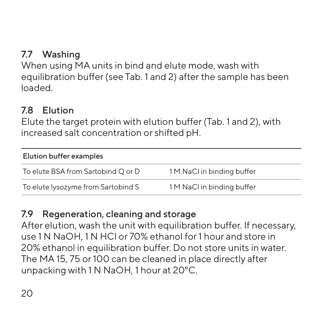#### <span id="page-19-0"></span>7.7 Washing

When using MA units in bind and elute mode, wash with equilibration buffer (see Tab. 1 and 2) after the sample has been loaded.

#### 7.8 Elution

Elute the target protein with elution buffer (Tab. 1 and 2), with increased salt concentration or shifted pH.

| Elution buffer examples            |                            |  |
|------------------------------------|----------------------------|--|
| To elute BSA from Sartobind O or D | 1 M NaCl in binding buffer |  |
| To elute lysozyme from Sartobind S | 1 M NaCl in binding buffer |  |

#### 7.9 Regeneration, cleaning and storage

After elution, wash the unit with equilibration buffer. If necessary, use 1 N NaOH, 1 N HCl or 70% ethanol for 1 hour and store in 20% ethanol in equilibration buffer. Do not store units in water. The MA 15, 75 or 100 can be cleaned in place directly after unpacking with 1 N NaOH, 1 hour at 20°C.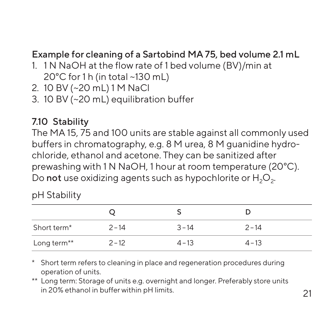#### <span id="page-20-0"></span>Example for cleaning of a Sartobind MA 75, bed volume 2.1 mL

- 1. 1 N NaOH at the flow rate of 1 bed volume (BV)/min at 20°C for 1 h (in total ~130 mL)
- 2. 10 BV (~20 mL) 1 M NaCl
- 3. 10 BV (~20 mL) equilibration buffer

#### 7.10 Stability

The MA 15, 75 and 100 units are stable against all commonly used buffers in chromatography, e.g. 8 M urea, 8 M guanidine hydrochloride, ethanol and acetone. They can be sanitized after prewashing with 1 N NaOH, 1 hour at room temperature (20°C). Do not use oxidizing agents such as hypochlorite or  $H_2O_2$ .

#### pH Stability

| Short term <sup>*</sup> | $2 - 14$ | $3 - 14$ | $2 - 14$ |  |
|-------------------------|----------|----------|----------|--|
| Long term**             | $2 - 12$ | $4 - 13$ | $4 - 13$ |  |

\* Short term refers to cleaning in place and regeneration procedures during operation of units.

\*\* Long term: Storage of units e.g. overnight and longer. Preferably store units in 20% ethanol in buffer within pH limits.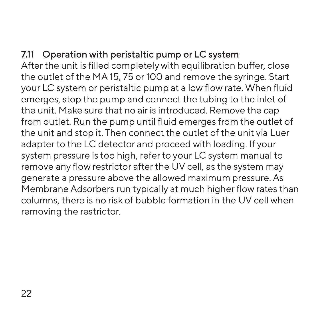#### <span id="page-21-1"></span><span id="page-21-0"></span>7.11 Operation with peristaltic pump or LC system

After the unit is filled completely with equilibration buffer, close the outlet of the MA 15, 75 or 100 and remove the syringe. Start your LC system or peristaltic pump at a low flow rate. When fluid emerges, stop the pump and connect the tubing to the inlet of the unit. Make sure that no air is introduced. Remove the cap from outlet. Run the pump until fluid emerges from the outlet of the unit and stop it. Then connect the outlet of the unit via Luer adapter to the LC detector and proceed with loading. If your system pressure is too high, refer to your LC system manual to remove any flow restrictor after the UV cell, as the system may generate a pressure above the allowed maximum pressure. As Membrane Adsorbers run typically at much higher flow rates than columns, there is no risk of bubble formation in the UV cell when removing the restrictor.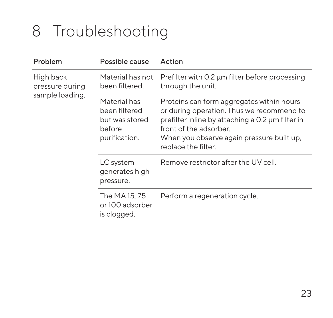# <span id="page-22-0"></span>8 Troubleshooting

| Problem                      | Possible cause                                                             | Action                                                                                                                                                                                                                                   |
|------------------------------|----------------------------------------------------------------------------|------------------------------------------------------------------------------------------------------------------------------------------------------------------------------------------------------------------------------------------|
| High back<br>pressure during | Material has not<br>been filtered.                                         | Prefilter with 0.2 µm filter before processing<br>through the unit.                                                                                                                                                                      |
| sample loading.              | Material has<br>been filtered<br>but was stored<br>before<br>purification. | Proteins can form aggregates within hours<br>or during operation. Thus we recommend to<br>prefilter inline by attaching a 0.2 µm filter in<br>front of the adsorber.<br>When you observe again pressure built up,<br>replace the filter. |
|                              | LC system<br>generates high<br>pressure.                                   | Remove restrictor after the UV cell.                                                                                                                                                                                                     |
|                              | The MA 15, 75<br>or 100 adsorber<br>is clogged.                            | Perform a regeneration cycle.                                                                                                                                                                                                            |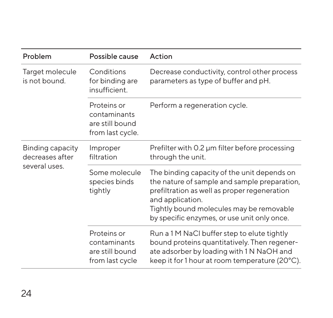| Problem                             | Possible cause                                                     | Action                                                                                                                                                                                                                                                     |
|-------------------------------------|--------------------------------------------------------------------|------------------------------------------------------------------------------------------------------------------------------------------------------------------------------------------------------------------------------------------------------------|
| Target molecule<br>is not bound.    | Conditions<br>for binding are<br>insufficient.                     | Decrease conductivity, control other process<br>parameters as type of buffer and pH.                                                                                                                                                                       |
|                                     | Proteins or<br>contaminants<br>are still bound<br>from last cycle. | Perform a regeneration cycle.                                                                                                                                                                                                                              |
| Binding capacity<br>decreases after | Improper<br>filtration                                             | Prefilter with 0.2 µm filter before processing<br>through the unit.                                                                                                                                                                                        |
| several uses.                       | Some molecule<br>species binds<br>tightly                          | The binding capacity of the unit depends on<br>the nature of sample and sample preparation,<br>prefiltration as well as proper regeneration<br>and application.<br>Tightly bound molecules may be removable<br>by specific enzymes, or use unit only once. |
|                                     | Proteins or<br>contaminants<br>are still bound<br>from last cycle  | Run a 1 M NaCl buffer step to elute tightly<br>bound proteins quantitatively. Then regener-<br>ate adsorber by loading with 1 N NaOH and<br>keep it for 1 hour at room temperature (20°C).                                                                 |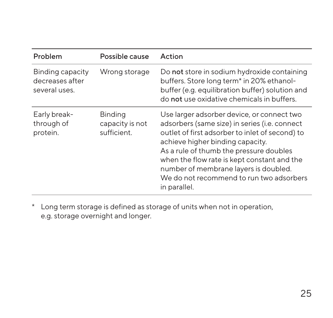| Problem                                              | Possible cause                                   | Action                                                                                                                                                                                                                                                                                                                                                                            |
|------------------------------------------------------|--------------------------------------------------|-----------------------------------------------------------------------------------------------------------------------------------------------------------------------------------------------------------------------------------------------------------------------------------------------------------------------------------------------------------------------------------|
| Binding capacity<br>decreases after<br>several uses. | Wrong storage                                    | Do not store in sodium hydroxide containing<br>buffers. Store long term <sup>*</sup> in 20% ethanol-<br>buffer (e.g. equilibration buffer) solution and<br>do not use oxidative chemicals in buffers.                                                                                                                                                                             |
| Early break-<br>through of<br>protein.               | <b>Binding</b><br>capacity is not<br>sufficient. | Use larger adsorber device, or connect two<br>adsorbers (same size) in series (i.e. connect<br>outlet of first adsorber to inlet of second) to<br>achieve higher binding capacity.<br>As a rule of thumb the pressure doubles<br>when the flow rate is kept constant and the<br>number of membrane layers is doubled.<br>We do not recommend to run two adsorbers<br>in parallel. |

\* Long term storage is defined as storage of units when not in operation, e.g. storage overnight and longer.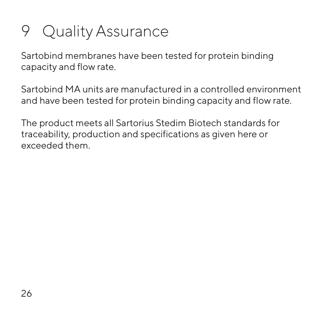# <span id="page-25-0"></span>9 Quality Assurance

Sartobind membranes have been tested for protein binding capacity and flow rate.

Sartobind MA units are manufactured in a controlled environment and have been tested for protein binding capacity and flow rate.

The product meets all Sartorius Stedim Biotech standards for traceability, production and specifications as given here or exceeded them.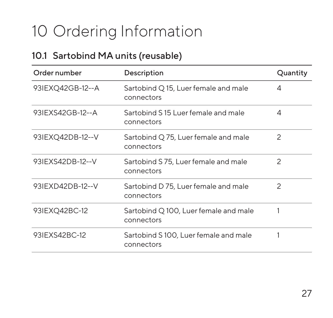# <span id="page-26-0"></span>10 Ordering Information

#### <span id="page-26-1"></span>10.1 Sartobind MA units (reusable)

| Order number     | Description                                         | Quantity       |
|------------------|-----------------------------------------------------|----------------|
| 931EXQ42GB-12--A | Sartobind Q 15, Luer female and male<br>connectors  | 4              |
| 931EXS42GB-12--A | Sartobind S15 Luer female and male<br>connectors    | 4              |
| 93IEXQ42DB-12--V | Sartobind Q 75, Luer female and male<br>connectors  | $\overline{c}$ |
| 931EXS42DB-12--V | Sartobind S 75, Luer female and male<br>connectors  | $\mathfrak{D}$ |
| 931EXD42DB-12--V | Sartobind D 75, Luer female and male<br>connectors  | 2              |
| 931EXQ42BC-12    | Sartobind Q 100, Luer female and male<br>connectors |                |
| 931EXS42BC-12    | Sartobind S100, Luer female and male<br>connectors  |                |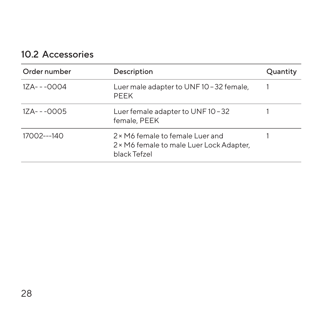#### <span id="page-27-0"></span>10.2 Accessories

| Order number | Description                                                                                  | Quantity |
|--------------|----------------------------------------------------------------------------------------------|----------|
| 1ZA---0004   | Luer male adapter to UNF10 - 32 female,<br>PEEK                                              |          |
| 1ZA---0005   | Luer female adapter to UNF10-32<br>female, PEEK                                              |          |
| 17002---140  | 2 × M6 female to female Luer and<br>2 × M6 female to male Luer Lock Adapter,<br>black Tefzel |          |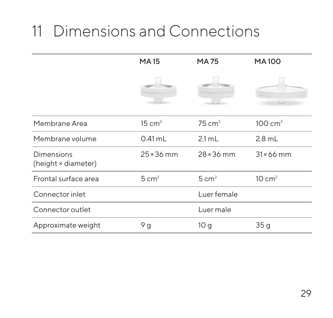# <span id="page-28-0"></span>11 Dimensions and Connections

|                                   | <b>MA15</b>           | <b>MA75</b>                                  | <b>MA100</b>                 |
|-----------------------------------|-----------------------|----------------------------------------------|------------------------------|
|                                   | ARTOBIND® O 15 Lot no | MRTOBIND <sup>®</sup> O 75 Lot <sup>on</sup> | <b>RTOBIND® O IDO Listno</b> |
| Membrane Area                     | 15 cm <sup>2</sup>    | $75 \text{ cm}^2$                            | $100 \text{ cm}^2$           |
| Membrane volume                   | $0.41$ mL             | $2.1 \text{ mL}$                             | $2.8$ mL                     |
| Dimensions<br>(height × diameter) | $25 \times 36$ mm     | $28 \times 36$ mm                            | $31 \times 66$ mm            |
| Frontal surface area              | $5 \text{ cm}^2$      | $5 \text{ cm}^2$                             | $10 \text{ cm}^2$            |
| Connector inlet                   |                       | Luer female                                  |                              |
| Connector outlet                  |                       | Luer male                                    |                              |
| Approximate weight                | 9g                    | 10 <sub>g</sub>                              | 35g                          |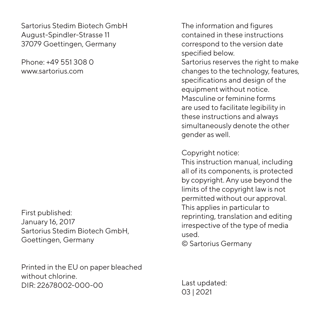Sartorius Stedim Biotech GmbH August-Spindler-Strasse 11 37079 Goettingen, Germany

Phone: +49 551 308 0 www.sartorius.com

First published: January 16, 2017 Sartorius Stedim Biotech GmbH, Goettingen, Germany

Printed in the EU on paper bleached without chlorine. DIR: 22678002-000-00

The information and figures contained in these instructions correspond to the version date specified below.

Sartorius reserves the right to make changes to the technology, features, specifications and design of the equipment without notice. Masculine or feminine forms are used to facilitate legibility in these instructions and always simultaneously denote the other gender as well.

Copyright notice:

This instruction manual, including all of its components, is protected by copyright. Any use beyond the limits of the copyright law is not permitted without our approval. This applies in particular to reprinting, translation and editing irrespective of the type of media used.

© Sartorius Germany

Last updated: 03 | 2021